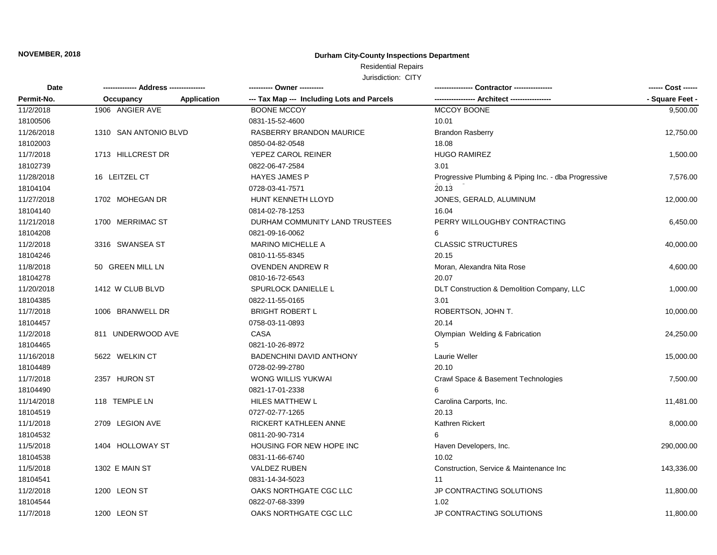### **Durham City-County Inspections Department**

## Residential Repairs

| <b>Date</b> | ------------- Address --------------- |             | ---------- Owner ----------                |                                                      | ------ Cost ------ |
|-------------|---------------------------------------|-------------|--------------------------------------------|------------------------------------------------------|--------------------|
| Permit-No.  | Occupancy                             | Application | --- Tax Map --- Including Lots and Parcels | --- Architect ----                                   | - Square Feet -    |
| 11/2/2018   | 1906 ANGIER AVE                       |             | <b>BOONE MCCOY</b>                         | MCCOY BOONE                                          | 9,500.00           |
| 18100506    |                                       |             | 0831-15-52-4600                            | 10.01                                                |                    |
| 11/26/2018  | 1310 SAN ANTONIO BLVD                 |             | RASBERRY BRANDON MAURICE                   | <b>Brandon Rasberry</b>                              | 12,750.00          |
| 18102003    |                                       |             | 0850-04-82-0548                            | 18.08                                                |                    |
| 11/7/2018   | 1713 HILLCREST DR                     |             | YEPEZ CAROL REINER                         | <b>HUGO RAMIREZ</b>                                  | 1,500.00           |
| 18102739    |                                       |             | 0822-06-47-2584                            | 3.01                                                 |                    |
| 11/28/2018  | 16 LEITZEL CT                         |             | <b>HAYES JAMES P</b>                       | Progressive Plumbing & Piping Inc. - dba Progressive | 7,576.00           |
| 18104104    |                                       |             | 0728-03-41-7571                            | 20.13                                                |                    |
| 11/27/2018  | 1702 MOHEGAN DR                       |             | HUNT KENNETH LLOYD                         | JONES, GERALD, ALUMINUM                              | 12,000.00          |
| 18104140    |                                       |             | 0814-02-78-1253                            | 16.04                                                |                    |
| 11/21/2018  | 1700 MERRIMAC ST                      |             | DURHAM COMMUNITY LAND TRUSTEES             | PERRY WILLOUGHBY CONTRACTING                         | 6,450.00           |
| 18104208    |                                       |             | 0821-09-16-0062                            | 6                                                    |                    |
| 11/2/2018   | 3316 SWANSEA ST                       |             | <b>MARINO MICHELLE A</b>                   | <b>CLASSIC STRUCTURES</b>                            | 40,000.00          |
| 18104246    |                                       |             | 0810-11-55-8345                            | 20.15                                                |                    |
| 11/8/2018   | 50 GREEN MILL LN                      |             | <b>OVENDEN ANDREW R</b>                    | Moran, Alexandra Nita Rose                           | 4,600.00           |
| 18104278    |                                       |             | 0810-16-72-6543                            | 20.07                                                |                    |
| 11/20/2018  | 1412 W CLUB BLVD                      |             | SPURLOCK DANIELLE L                        | DLT Construction & Demolition Company, LLC           | 1,000.00           |
| 18104385    |                                       |             | 0822-11-55-0165                            | 3.01                                                 |                    |
| 11/7/2018   | 1006 BRANWELL DR                      |             | <b>BRIGHT ROBERT L</b>                     | ROBERTSON, JOHN T.                                   | 10,000.00          |
| 18104457    |                                       |             | 0758-03-11-0893                            | 20.14                                                |                    |
| 11/2/2018   | 811 UNDERWOOD AVE                     |             | <b>CASA</b>                                | Olympian Welding & Fabrication                       | 24,250.00          |
| 18104465    |                                       |             | 0821-10-26-8972                            |                                                      |                    |
| 11/16/2018  | 5622 WELKIN CT                        |             | <b>BADENCHINI DAVID ANTHONY</b>            | Laurie Weller                                        | 15,000.00          |
| 18104489    |                                       |             | 0728-02-99-2780                            | 20.10                                                |                    |
| 11/7/2018   | 2357 HURON ST                         |             | WONG WILLIS YUKWAI                         | Crawl Space & Basement Technologies                  | 7,500.00           |
| 18104490    |                                       |             | 0821-17-01-2338                            | 6                                                    |                    |
| 11/14/2018  | 118 TEMPLE LN                         |             | HILES MATTHEW L                            | Carolina Carports, Inc.                              | 11,481.00          |
| 18104519    |                                       |             | 0727-02-77-1265                            | 20.13                                                |                    |
| 11/1/2018   | 2709 LEGION AVE                       |             | RICKERT KATHLEEN ANNE                      | Kathren Rickert                                      | 8,000.00           |
| 18104532    |                                       |             | 0811-20-90-7314                            | 6                                                    |                    |
| 11/5/2018   | 1404 HOLLOWAY ST                      |             | HOUSING FOR NEW HOPE INC                   | Haven Developers, Inc.                               | 290,000.00         |
| 18104538    |                                       |             | 0831-11-66-6740                            | 10.02                                                |                    |
| 11/5/2018   | 1302 E MAIN ST                        |             | <b>VALDEZ RUBEN</b>                        | Construction, Service & Maintenance Inc              | 143,336.00         |
| 18104541    |                                       |             | 0831-14-34-5023                            | 11                                                   |                    |
| 11/2/2018   | 1200 LEON ST                          |             | OAKS NORTHGATE CGC LLC                     | JP CONTRACTING SOLUTIONS                             | 11,800.00          |
| 18104544    |                                       |             | 0822-07-68-3399                            | 1.02                                                 |                    |
| 11/7/2018   | 1200 LEON ST                          |             | OAKS NORTHGATE CGC LLC                     | JP CONTRACTING SOLUTIONS                             | 11,800.00          |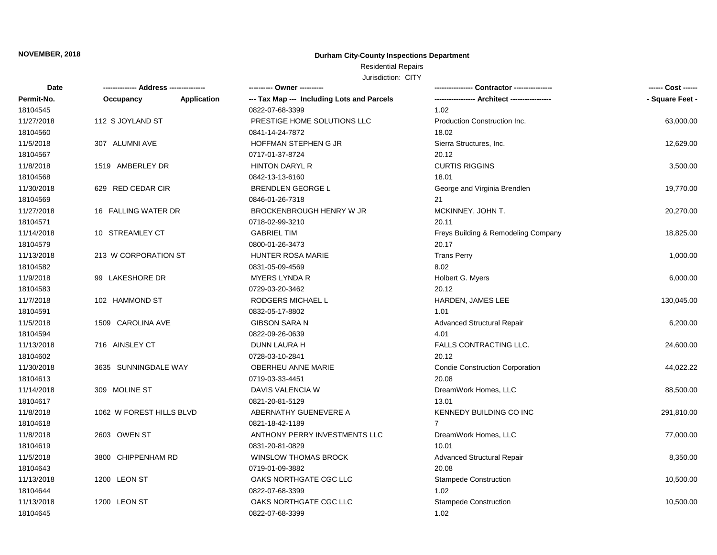### **Durham City-County Inspections Department**

Residential Repairs

| Date       | -------------- Address --------------- | --------- Owner ---------                  |                                        |                 |
|------------|----------------------------------------|--------------------------------------------|----------------------------------------|-----------------|
| Permit-No. | <b>Application</b><br>Occupancy        | --- Tax Map --- Including Lots and Parcels |                                        | - Square Feet - |
| 18104545   |                                        | 0822-07-68-3399                            | 1.02                                   |                 |
| 11/27/2018 | 112 S JOYLAND ST                       | PRESTIGE HOME SOLUTIONS LLC                | Production Construction Inc.           | 63,000.00       |
| 18104560   |                                        | 0841-14-24-7872                            | 18.02                                  |                 |
| 11/5/2018  | 307 ALUMNI AVE                         | HOFFMAN STEPHEN G JR                       | Sierra Structures, Inc.                | 12,629.00       |
| 18104567   |                                        | 0717-01-37-8724                            | 20.12                                  |                 |
| 11/8/2018  | 1519 AMBERLEY DR                       | <b>HINTON DARYL R</b>                      | <b>CURTIS RIGGINS</b>                  | 3,500.00        |
| 18104568   |                                        | 0842-13-13-6160                            | 18.01                                  |                 |
| 11/30/2018 | 629 RED CEDAR CIR                      | <b>BRENDLEN GEORGE L</b>                   | George and Virginia Brendlen           | 19,770.00       |
| 18104569   |                                        | 0846-01-26-7318                            | 21                                     |                 |
| 11/27/2018 | 16 FALLING WATER DR                    | BROCKENBROUGH HENRY W JR                   | MCKINNEY, JOHN T.                      | 20,270.00       |
| 18104571   |                                        | 0718-02-99-3210                            | 20.11                                  |                 |
| 11/14/2018 | 10 STREAMLEY CT                        | <b>GABRIEL TIM</b>                         | Freys Building & Remodeling Company    | 18,825.00       |
| 18104579   |                                        | 0800-01-26-3473                            | 20.17                                  |                 |
| 11/13/2018 | 213 W CORPORATION ST                   | HUNTER ROSA MARIE                          | <b>Trans Perry</b>                     | 1,000.00        |
| 18104582   |                                        | 0831-05-09-4569                            | 8.02                                   |                 |
| 11/9/2018  | 99 LAKESHORE DR                        | <b>MYERS LYNDA R</b>                       | Holbert G. Myers                       | 6,000.00        |
| 18104583   |                                        | 0729-03-20-3462                            | 20.12                                  |                 |
| 11/7/2018  | 102 HAMMOND ST                         | RODGERS MICHAEL L                          | HARDEN, JAMES LEE                      | 130,045.00      |
| 18104591   |                                        | 0832-05-17-8802                            | 1.01                                   |                 |
| 11/5/2018  | 1509 CAROLINA AVE                      | <b>GIBSON SARA N</b>                       | <b>Advanced Structural Repair</b>      | 6,200.00        |
| 18104594   |                                        | 0822-09-26-0639                            | 4.01                                   |                 |
| 11/13/2018 | 716 AINSLEY CT                         | <b>DUNN LAURA H</b>                        | <b>FALLS CONTRACTING LLC.</b>          | 24,600.00       |
| 18104602   |                                        | 0728-03-10-2841                            | 20.12                                  |                 |
| 11/30/2018 | 3635 SUNNINGDALE WAY                   | OBERHEU ANNE MARIE                         | <b>Condie Construction Corporation</b> | 44,022.22       |
| 18104613   |                                        | 0719-03-33-4451                            | 20.08                                  |                 |
| 11/14/2018 | 309 MOLINE ST                          | DAVIS VALENCIA W                           | DreamWork Homes, LLC                   | 88,500.00       |
| 18104617   |                                        | 0821-20-81-5129                            | 13.01                                  |                 |
| 11/8/2018  | 1062 W FOREST HILLS BLVD               | ABERNATHY GUENEVERE A                      | KENNEDY BUILDING CO INC                | 291,810.00      |
| 18104618   |                                        | 0821-18-42-1189                            | $\overline{7}$                         |                 |
| 11/8/2018  | 2603 OWEN ST                           | ANTHONY PERRY INVESTMENTS LLC              | DreamWork Homes, LLC                   | 77,000.00       |
| 18104619   |                                        | 0831-20-81-0829                            | 10.01                                  |                 |
| 11/5/2018  | 3800 CHIPPENHAM RD                     | WINSLOW THOMAS BROCK                       | <b>Advanced Structural Repair</b>      | 8,350.00        |
| 18104643   |                                        | 0719-01-09-3882                            | 20.08                                  |                 |
| 11/13/2018 | 1200 LEON ST                           | OAKS NORTHGATE CGC LLC                     | <b>Stampede Construction</b>           | 10,500.00       |
| 18104644   |                                        | 0822-07-68-3399                            | 1.02                                   |                 |
| 11/13/2018 | 1200 LEON ST                           | OAKS NORTHGATE CGC LLC                     | <b>Stampede Construction</b>           | 10,500.00       |
| 18104645   |                                        | 0822-07-68-3399                            | 1.02                                   |                 |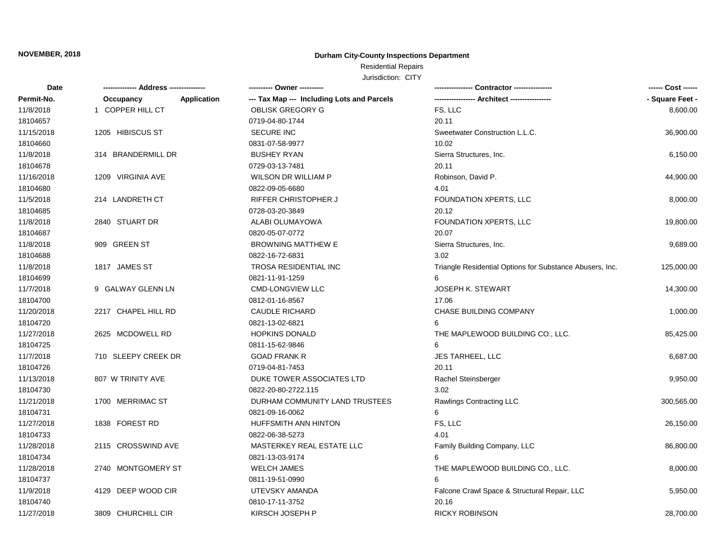### **Durham City-County Inspections Department**

Residential Repairs

| Date       |                     |             | ---------- Owner ---------                 |                                                          | ------ Cost ------ |
|------------|---------------------|-------------|--------------------------------------------|----------------------------------------------------------|--------------------|
| Permit-No. | Occupancy           | Application | --- Tax Map --- Including Lots and Parcels |                                                          | - Square Feet -    |
| 11/8/2018  | 1 COPPER HILL CT    |             | <b>OBLISK GREGORY G</b>                    | FS, LLC                                                  | 8,600.00           |
| 18104657   |                     |             | 0719-04-80-1744                            | 20.11                                                    |                    |
| 11/15/2018 | 1205 HIBISCUS ST    |             | <b>SECURE INC</b>                          | Sweetwater Construction L.L.C.                           | 36,900.00          |
| 18104660   |                     |             | 0831-07-58-9977                            | 10.02                                                    |                    |
| 11/8/2018  | 314 BRANDERMILL DR  |             | <b>BUSHEY RYAN</b>                         | Sierra Structures, Inc.                                  | 6,150.00           |
| 18104678   |                     |             | 0729-03-13-7481                            | 20.11                                                    |                    |
| 11/16/2018 | 1209 VIRGINIA AVE   |             | WILSON DR WILLIAM P                        | Robinson, David P.                                       | 44,900.00          |
| 18104680   |                     |             | 0822-09-05-6680                            | 4.01                                                     |                    |
| 11/5/2018  | 214 LANDRETH CT     |             | <b>RIFFER CHRISTOPHER J</b>                | FOUNDATION XPERTS, LLC                                   | 8,000.00           |
| 18104685   |                     |             | 0728-03-20-3849                            | 20.12                                                    |                    |
| 11/8/2018  | 2840 STUART DR      |             | ALABI OLUMAYOWA                            | FOUNDATION XPERTS, LLC                                   | 19,800.00          |
| 18104687   |                     |             | 0820-05-07-0772                            | 20.07                                                    |                    |
| 11/8/2018  | 909 GREEN ST        |             | <b>BROWNING MATTHEW E</b>                  | Sierra Structures, Inc.                                  | 9,689.00           |
| 18104688   |                     |             | 0822-16-72-6831                            | 3.02                                                     |                    |
| 11/8/2018  | 1817 JAMES ST       |             | TROSA RESIDENTIAL INC                      | Triangle Residential Options for Substance Abusers, Inc. | 125,000.00         |
| 18104699   |                     |             | 0821-11-91-1259                            |                                                          |                    |
| 11/7/2018  | 9 GALWAY GLENN LN   |             | <b>CMD-LONGVIEW LLC</b>                    | <b>JOSEPH K. STEWART</b>                                 | 14,300.00          |
| 18104700   |                     |             | 0812-01-16-8567                            | 17.06                                                    |                    |
| 11/20/2018 | 2217 CHAPEL HILL RD |             | <b>CAUDLE RICHARD</b>                      | <b>CHASE BUILDING COMPANY</b>                            | 1,000.00           |
| 18104720   |                     |             | 0821-13-02-6821                            | 6                                                        |                    |
| 11/27/2018 | 2625 MCDOWELL RD    |             | <b>HOPKINS DONALD</b>                      | THE MAPLEWOOD BUILDING CO., LLC.                         | 85,425.00          |
| 18104725   |                     |             | 0811-15-62-9846                            | 6                                                        |                    |
| 11/7/2018  | 710 SLEEPY CREEK DR |             | <b>GOAD FRANK R</b>                        | <b>JES TARHEEL, LLC</b>                                  | 6,687.00           |
| 18104726   |                     |             | 0719-04-81-7453                            | 20.11                                                    |                    |
| 11/13/2018 | 807 W TRINITY AVE   |             | DUKE TOWER ASSOCIATES LTD                  | Rachel Steinsberger                                      | 9,950.00           |
| 18104730   |                     |             | 0822-20-80-2722.115                        | 3.02                                                     |                    |
| 11/21/2018 | 1700 MERRIMAC ST    |             | DURHAM COMMUNITY LAND TRUSTEES             | Rawlings Contracting LLC                                 | 300,565.00         |
| 18104731   |                     |             | 0821-09-16-0062                            | 6                                                        |                    |
| 11/27/2018 | 1838 FOREST RD      |             | HUFFSMITH ANN HINTON                       | FS, LLC                                                  | 26,150.00          |
| 18104733   |                     |             | 0822-06-38-5273                            | 4.01                                                     |                    |
| 11/28/2018 | 2115 CROSSWIND AVE  |             | MASTERKEY REAL ESTATE LLC                  | Family Building Company, LLC                             | 86,800.00          |
| 18104734   |                     |             | 0821-13-03-9174                            | 6                                                        |                    |
| 11/28/2018 | 2740 MONTGOMERY ST  |             | <b>WELCH JAMES</b>                         | THE MAPLEWOOD BUILDING CO., LLC.                         | 8,000.00           |
| 18104737   |                     |             | 0811-19-51-0990                            | 6                                                        |                    |
| 11/9/2018  | 4129 DEEP WOOD CIR  |             | UTEVSKY AMANDA                             | Falcone Crawl Space & Structural Repair, LLC             | 5,950.00           |
| 18104740   |                     |             | 0810-17-11-3752                            | 20.16                                                    |                    |
| 11/27/2018 | 3809 CHURCHILL CIR  |             | KIRSCH JOSEPH P                            | <b>RICKY ROBINSON</b>                                    | 28,700.00          |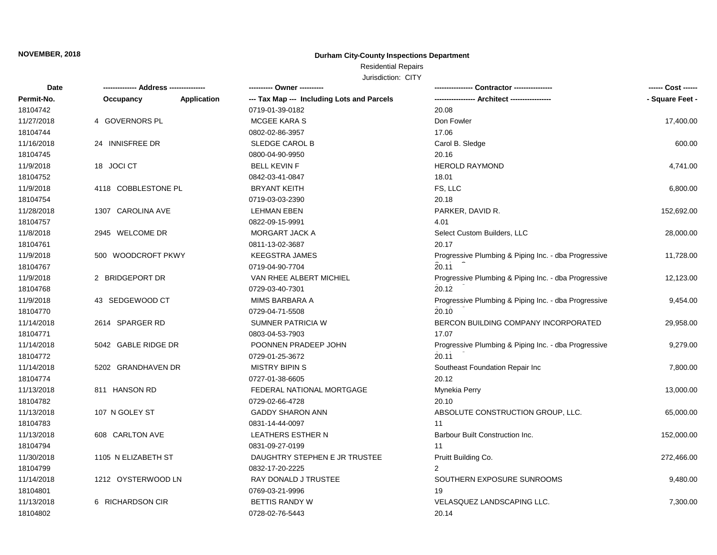### **Durham City-County Inspections Department**

## Residential Repairs

| Date       | -------------- Address --------------- |                    |                                            | Contractor ----------------                          | ------ Cost ------ |
|------------|----------------------------------------|--------------------|--------------------------------------------|------------------------------------------------------|--------------------|
| Permit-No. | Occupancy                              | <b>Application</b> | --- Tax Map --- Including Lots and Parcels |                                                      | - Square Feet -    |
| 18104742   |                                        |                    | 0719-01-39-0182                            | 20.08                                                |                    |
| 11/27/2018 | 4 GOVERNORS PL                         |                    | MCGEE KARA S                               | Don Fowler                                           | 17,400.00          |
| 18104744   |                                        |                    | 0802-02-86-3957                            | 17.06                                                |                    |
| 11/16/2018 | 24 INNISFREE DR                        |                    | SLEDGE CAROL B                             | Carol B. Sledge                                      | 600.00             |
| 18104745   |                                        |                    | 0800-04-90-9950                            | 20.16                                                |                    |
| 11/9/2018  | 18 JOCI CT                             |                    | <b>BELL KEVIN F</b>                        | <b>HEROLD RAYMOND</b>                                | 4,741.00           |
| 18104752   |                                        |                    | 0842-03-41-0847                            | 18.01                                                |                    |
| 11/9/2018  | 4118 COBBLESTONE PL                    |                    | <b>BRYANT KEITH</b>                        | FS, LLC                                              | 6,800.00           |
| 18104754   |                                        |                    | 0719-03-03-2390                            | 20.18                                                |                    |
| 11/28/2018 | 1307 CAROLINA AVE                      |                    | <b>LEHMAN EBEN</b>                         | PARKER, DAVID R.                                     | 152,692.00         |
| 18104757   |                                        |                    | 0822-09-15-9991                            | 4.01                                                 |                    |
| 11/8/2018  | 2945 WELCOME DR                        |                    | MORGART JACK A                             | Select Custom Builders, LLC                          | 28,000.00          |
| 18104761   |                                        |                    | 0811-13-02-3687                            | 20.17                                                |                    |
| 11/9/2018  | 500 WOODCROFT PKWY                     |                    | <b>KEEGSTRA JAMES</b>                      | Progressive Plumbing & Piping Inc. - dba Progressive | 11,728.00          |
| 18104767   |                                        |                    | 0719-04-90-7704                            | 20.11                                                |                    |
| 11/9/2018  | 2 BRIDGEPORT DR                        |                    | VAN RHEE ALBERT MICHIEL                    | Progressive Plumbing & Piping Inc. - dba Progressive | 12,123.00          |
| 18104768   |                                        |                    | 0729-03-40-7301                            | 20.12                                                |                    |
| 11/9/2018  | 43 SEDGEWOOD CT                        |                    | <b>MIMS BARBARA A</b>                      | Progressive Plumbing & Piping Inc. - dba Progressive | 9,454.00           |
| 18104770   |                                        |                    | 0729-04-71-5508                            | 20.10                                                |                    |
| 11/14/2018 | 2614 SPARGER RD                        |                    | SUMNER PATRICIA W                          | BERCON BUILDING COMPANY INCORPORATED                 | 29,958.00          |
| 18104771   |                                        |                    | 0803-04-53-7903                            | 17.07                                                |                    |
| 11/14/2018 | 5042 GABLE RIDGE DR                    |                    | POONNEN PRADEEP JOHN                       | Progressive Plumbing & Piping Inc. - dba Progressive | 9,279.00           |
| 18104772   |                                        |                    | 0729-01-25-3672                            | 20.11                                                |                    |
| 11/14/2018 | 5202 GRANDHAVEN DR                     |                    | <b>MISTRY BIPIN S</b>                      | Southeast Foundation Repair Inc                      | 7,800.00           |
| 18104774   |                                        |                    | 0727-01-38-6605                            | 20.12                                                |                    |
| 11/13/2018 | 811 HANSON RD                          |                    | FEDERAL NATIONAL MORTGAGE                  | Mynekia Perry                                        | 13,000.00          |
| 18104782   |                                        |                    | 0729-02-66-4728                            | 20.10                                                |                    |
| 11/13/2018 | 107 N GOLEY ST                         |                    | <b>GADDY SHARON ANN</b>                    | ABSOLUTE CONSTRUCTION GROUP, LLC.                    | 65,000.00          |
| 18104783   |                                        |                    | 0831-14-44-0097                            | 11                                                   |                    |
| 11/13/2018 | 608 CARLTON AVE                        |                    | <b>LEATHERS ESTHER N</b>                   | Barbour Built Construction Inc.                      | 152,000.00         |
| 18104794   |                                        |                    | 0831-09-27-0199                            | 11                                                   |                    |
| 11/30/2018 | 1105 N ELIZABETH ST                    |                    | DAUGHTRY STEPHEN E JR TRUSTEE              | Pruitt Building Co.                                  | 272,466.00         |
| 18104799   |                                        |                    | 0832-17-20-2225                            | 2                                                    |                    |
| 11/14/2018 | 1212 OYSTERWOOD LN                     |                    | RAY DONALD J TRUSTEE                       | SOUTHERN EXPOSURE SUNROOMS                           | 9,480.00           |
| 18104801   |                                        |                    | 0769-03-21-9996                            | 19                                                   |                    |
| 11/13/2018 | 6 RICHARDSON CIR                       |                    | <b>BETTIS RANDY W</b>                      | <b>VELASQUEZ LANDSCAPING LLC.</b>                    | 7,300.00           |
| 18104802   |                                        |                    | 0728-02-76-5443                            | 20.14                                                |                    |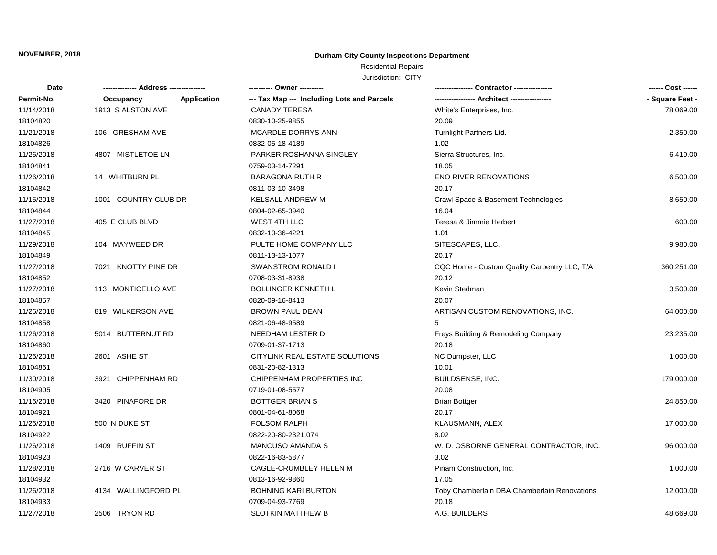### **Durham City-County Inspections Department**

## Residential Repairs

| Date       |                                 |                                            |                                              | ------ Cost ------ |
|------------|---------------------------------|--------------------------------------------|----------------------------------------------|--------------------|
| Permit-No. | Occupancy<br><b>Application</b> | --- Tax Map --- Including Lots and Parcels |                                              | - Square Feet -    |
| 11/14/2018 | 1913 S ALSTON AVE               | <b>CANADY TERESA</b>                       | White's Enterprises, Inc.                    | 78,069.00          |
| 18104820   |                                 | 0830-10-25-9855                            | 20.09                                        |                    |
| 11/21/2018 | 106 GRESHAM AVE                 | MCARDLE DORRYS ANN                         | Turnlight Partners Ltd.                      | 2,350.00           |
| 18104826   |                                 | 0832-05-18-4189                            | 1.02                                         |                    |
| 11/26/2018 | 4807 MISTLETOE LN               | PARKER ROSHANNA SINGLEY                    | Sierra Structures, Inc.                      | 6,419.00           |
| 18104841   |                                 | 0759-03-14-7291                            | 18.05                                        |                    |
| 11/26/2018 | 14 WHITBURN PL                  | <b>BARAGONA RUTH R</b>                     | <b>ENO RIVER RENOVATIONS</b>                 | 6,500.00           |
| 18104842   |                                 | 0811-03-10-3498                            | 20.17                                        |                    |
| 11/15/2018 | 1001 COUNTRY CLUB DR            | <b>KELSALL ANDREW M</b>                    | Crawl Space & Basement Technologies          | 8,650.00           |
| 18104844   |                                 | 0804-02-65-3940                            | 16.04                                        |                    |
| 11/27/2018 | 405 E CLUB BLVD                 | WEST 4TH LLC                               | Teresa & Jimmie Herbert                      | 600.00             |
| 18104845   |                                 | 0832-10-36-4221                            | 1.01                                         |                    |
| 11/29/2018 | 104 MAYWEED DR                  | PULTE HOME COMPANY LLC                     | SITESCAPES, LLC.                             | 9,980.00           |
| 18104849   |                                 | 0811-13-13-1077                            | 20.17                                        |                    |
| 11/27/2018 | 7021 KNOTTY PINE DR             | <b>SWANSTROM RONALD I</b>                  | CQC Home - Custom Quality Carpentry LLC, T/A | 360,251.00         |
| 18104852   |                                 | 0708-03-31-8938                            | 20.12                                        |                    |
| 11/27/2018 | 113 MONTICELLO AVE              | <b>BOLLINGER KENNETH L</b>                 | Kevin Stedman                                | 3,500.00           |
| 18104857   |                                 | 0820-09-16-8413                            | 20.07                                        |                    |
| 11/26/2018 | 819 WILKERSON AVE               | <b>BROWN PAUL DEAN</b>                     | ARTISAN CUSTOM RENOVATIONS, INC.             | 64,000.00          |
| 18104858   |                                 | 0821-06-48-9589                            |                                              |                    |
| 11/26/2018 | 5014 BUTTERNUT RD               | NEEDHAM LESTER D                           | Freys Building & Remodeling Company          | 23,235.00          |
| 18104860   |                                 | 0709-01-37-1713                            | 20.18                                        |                    |
| 11/26/2018 | 2601 ASHE ST                    | CITYLINK REAL ESTATE SOLUTIONS             | NC Dumpster, LLC                             | 1,000.00           |
| 18104861   |                                 | 0831-20-82-1313                            | 10.01                                        |                    |
| 11/30/2018 | 3921 CHIPPENHAM RD              | CHIPPENHAM PROPERTIES INC                  | BUILDSENSE, INC.                             | 179,000.00         |
| 18104905   |                                 | 0719-01-08-5577                            | 20.08                                        |                    |
| 11/16/2018 | 3420 PINAFORE DR                | <b>BOTTGER BRIAN S</b>                     | <b>Brian Bottger</b>                         | 24,850.00          |
| 18104921   |                                 | 0801-04-61-8068                            | 20.17                                        |                    |
| 11/26/2018 | 500 N DUKE ST                   | <b>FOLSOM RALPH</b>                        | KLAUSMANN, ALEX                              | 17,000.00          |
| 18104922   |                                 | 0822-20-80-2321.074                        | 8.02                                         |                    |
| 11/26/2018 | 1409 RUFFIN ST                  | <b>MANCUSO AMANDA S</b>                    | W. D. OSBORNE GENERAL CONTRACTOR, INC.       | 96,000.00          |
| 18104923   |                                 | 0822-16-83-5877                            | 3.02                                         |                    |
| 11/28/2018 | 2716 W CARVER ST                | CAGLE-CRUMBLEY HELEN M                     | Pinam Construction, Inc.                     | 1,000.00           |
| 18104932   |                                 | 0813-16-92-9860                            | 17.05                                        |                    |
| 11/26/2018 | 4134 WALLINGFORD PL             | <b>BOHNING KARI BURTON</b>                 | Toby Chamberlain DBA Chamberlain Renovations | 12,000.00          |
| 18104933   |                                 | 0709-04-93-7769                            | 20.18                                        |                    |
| 11/27/2018 | 2506 TRYON RD                   | <b>SLOTKIN MATTHEW B</b>                   | A.G. BUILDERS                                | 48,669.00          |